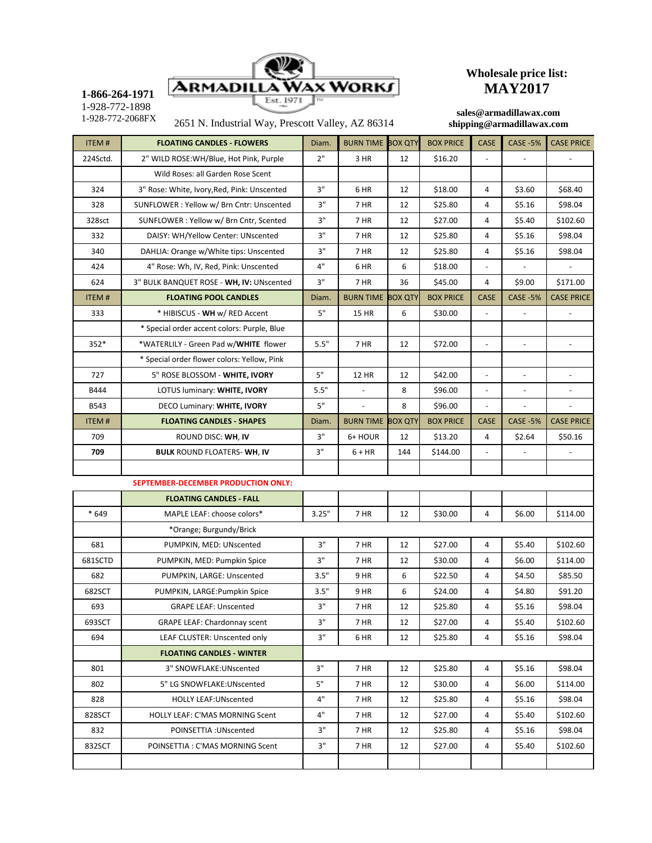

## **Wholesale price list: MAY2017**

**1-866-264-1971** 1-928-772-1898

2651 N. Industrial Way, Prescott Valley, AZ 86314 1-928-772-2068FX **sales@armadillawax.com**

## **shipping@armadillawax.com**

| <b>ITEM#</b> | <b>FLOATING CANDLES - FLOWERS</b>           | Diam. | <b>BURN TIME BOX QTY</b> |                | <b>BOX PRICE</b> | <b>CASE</b>              | <b>CASE -5%</b> | <b>CASE PRICE</b> |
|--------------|---------------------------------------------|-------|--------------------------|----------------|------------------|--------------------------|-----------------|-------------------|
| 224Sctd.     | 2" WILD ROSE: WH/Blue, Hot Pink, Purple     | 2"    | 3 HR<br>12               |                | \$16.20          |                          |                 |                   |
|              | Wild Roses: all Garden Rose Scent           |       |                          |                |                  |                          |                 |                   |
| 324          | 3" Rose: White, Ivory, Red, Pink: Unscented | 3"    | 6 HR                     | 12             | \$18.00          | 4                        | \$3.60          | \$68.40           |
| 328          | SUNFLOWER: Yellow w/ Brn Cntr: Unscented    | 3"    | 7 HR                     | 12             | \$25.80          | 4                        | \$5.16          | \$98.04           |
| 328sct       | SUNFLOWER: Yellow w/ Brn Cntr, Scented      | 3"    | 7 HR                     | 12             | \$27.00          | $\overline{4}$           | \$5.40          | \$102.60          |
| 332          | DAISY: WH/Yellow Center: UNscented          | 3"    | 7 HR                     | 12             | \$25.80          | 4                        | \$5.16          | \$98.04           |
| 340          | DAHLIA: Orange w/White tips: Unscented      | 3"    | 7 HR                     | 12             | \$25.80          | 4                        | \$5.16          | \$98.04           |
| 424          | 4" Rose: Wh, IV, Red, Pink: Unscented       | 4"    | 6 HR                     | 6              | \$18.00          | $\overline{\phantom{a}}$ |                 |                   |
| 624          | 3" BULK BANQUET ROSE - WH, IV: UNscented    | 3"    | 7 HR                     | 36             | \$45.00          | 4                        | \$9.00          | \$171.00          |
| <b>ITEM#</b> | <b>FLOATING POOL CANDLES</b>                | Diam. | <b>BURN TIME BOX QTY</b> |                | <b>BOX PRICE</b> | <b>CASE</b>              | <b>CASE -5%</b> | <b>CASE PRICE</b> |
| 333          | * HIBISCUS - WH w/ RED Accent               | 5"    | <b>15 HR</b>             | 6              | \$30.00          | $\frac{1}{2}$            |                 |                   |
|              | * Special order accent colors: Purple, Blue |       |                          |                |                  |                          |                 |                   |
| 352*         | *WATERLILY - Green Pad w/WHITE flower       | 5.5"  | 7 HR                     | 12             | \$72.00          | $\overline{\phantom{a}}$ | $\overline{a}$  |                   |
|              | * Special order flower colors: Yellow, Pink |       |                          |                |                  |                          |                 |                   |
| 727          | 5" ROSE BLOSSOM - WHITE, IVORY              | 5"    | <b>12 HR</b>             | 12             | \$42.00          | $\overline{\phantom{a}}$ |                 |                   |
| <b>B444</b>  | LOTUS luminary: WHITE, IVORY                | 5.5"  | $\overline{a}$           | 8              | \$96.00          | $\overline{\phantom{a}}$ |                 |                   |
| <b>B543</b>  | DECO Luminary: WHITE, IVORY                 | 5"    | $\overline{a}$           | 8              | \$96.00          | $\overline{\phantom{a}}$ | $\overline{a}$  | $\overline{a}$    |
| <b>ITEM#</b> | <b>FLOATING CANDLES - SHAPES</b>            | Diam. | <b>BURN TIME</b>         | <b>BOX QTY</b> | <b>BOX PRICE</b> | <b>CASE</b>              | <b>CASE -5%</b> | <b>CASE PRICE</b> |
| 709          | ROUND DISC: WH, IV                          | 3"    | 6+ HOUR                  | 12             | \$13.20          | 4                        | \$2.64          | \$50.16           |
| 709          | <b>BULK ROUND FLOATERS-WH, IV</b>           | 3"    | $6 + HR$                 | 144            | \$144.00         |                          |                 |                   |
|              |                                             |       |                          |                |                  |                          |                 |                   |
|              | SEPTEMBER-DECEMBER PRODUCTION ONLY:         |       |                          |                |                  |                          |                 |                   |
|              | <b>FLOATING CANDLES - FALL</b>              |       |                          |                |                  |                          |                 |                   |
| * 649        | MAPLE LEAF: choose colors*                  | 3.25" | 7 HR                     | 12             | \$30.00          | 4                        | \$6.00          | \$114.00          |
|              | *Orange; Burgundy/Brick                     |       |                          |                |                  |                          |                 |                   |
| 681          | PUMPKIN, MED: UNscented                     | 3"    | 7 HR                     | 12             | \$27.00          | 4                        | \$5.40          | \$102.60          |
| 681SCTD      | PUMPKIN, MED: Pumpkin Spice                 | 3"    | 7 HR                     | 12             | \$30.00          | $\overline{4}$           | \$6.00          | \$114.00          |
| 682          | PUMPKIN, LARGE: Unscented                   | 3.5"  | 9 HR                     | 6              | \$22.50          | $\overline{4}$           | \$4.50          | \$85.50           |
| 682SCT       | PUMPKIN, LARGE: Pumpkin Spice               | 3.5"  | 9 HR                     | 6              | \$24.00          | 4                        | \$4.80          | \$91.20           |
| 693          | <b>GRAPE LEAF: Unscented</b>                | 3"    | 7 HR                     | 12             | \$25.80          | 4                        | \$5.16          | \$98.04           |
| 693SCT       | <b>GRAPE LEAF: Chardonnay scent</b>         | 3"    | 7 HR                     | 12             | \$27.00          | 4                        | \$5.40          | \$102.60          |
| 694          | LEAF CLUSTER: Unscented only                | 3"    | 6 HR                     | 12             | \$25.80          | 4                        | \$5.16          | \$98.04           |
|              | <b>FLOATING CANDLES - WINTER</b>            |       |                          |                |                  |                          |                 |                   |
| 801          | 3" SNOWFLAKE: UNscented                     | 3"    | 7 HR                     | 12             | \$25.80          | 4                        | \$5.16          | \$98.04           |
| 802          | 5" LG SNOWFLAKE: UNscented                  | 5"    | 7 HR                     | 12             | \$30.00          | 4                        | \$6.00          | \$114.00          |
| 828          | <b>HOLLY LEAF: UNscented</b>                | 4"    | 7 HR                     | 12             | \$25.80          | 4                        | \$5.16          | \$98.04           |
| 828SCT       | HOLLY LEAF: C'MAS MORNING Scent             | 4"    | 7 HR                     | 12             | \$27.00          | 4                        | \$5.40          | \$102.60          |
| 832          | POINSETTIA: UNscented                       | 3"    | 7 HR                     | 12             | \$25.80          | 4                        | \$5.16          | \$98.04           |
| 832SCT       | POINSETTIA : C'MAS MORNING Scent            | 3"    | 7 HR                     | 12             | \$27.00          | 4                        | \$5.40          | \$102.60          |
|              |                                             |       |                          |                |                  |                          |                 |                   |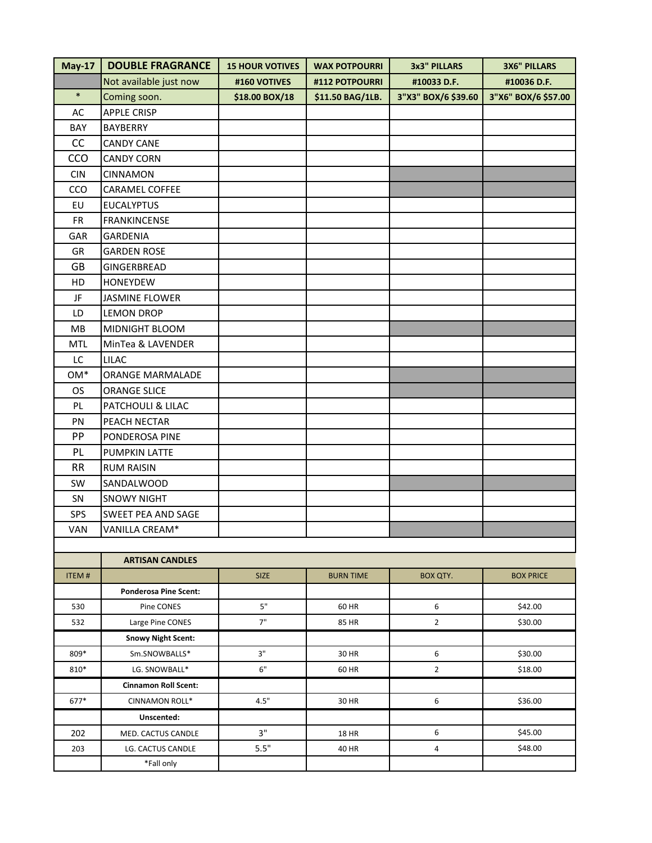| $May-17$     | <b>DOUBLE FRAGRANCE</b>      | <b>15 HOUR VOTIVES</b> | <b>WAX POTPOURRI</b> | 3x3" PILLARS        | <b>3X6" PILLARS</b> |
|--------------|------------------------------|------------------------|----------------------|---------------------|---------------------|
|              | Not available just now       | #160 VOTIVES           | #112 POTPOURRI       | #10033 D.F.         | #10036 D.F.         |
| $\ast$       | Coming soon.                 | \$18.00 BOX/18         | \$11.50 BAG/1LB.     | 3"X3" BOX/6 \$39.60 | 3"X6" BOX/6 \$57.00 |
| AC           | <b>APPLE CRISP</b>           |                        |                      |                     |                     |
| BAY          | <b>BAYBERRY</b>              |                        |                      |                     |                     |
| CC           | <b>CANDY CANE</b>            |                        |                      |                     |                     |
| CCO          | <b>CANDY CORN</b>            |                        |                      |                     |                     |
| <b>CIN</b>   | CINNAMON                     |                        |                      |                     |                     |
| CCO          | CARAMEL COFFEE               |                        |                      |                     |                     |
| EU           | <b>EUCALYPTUS</b>            |                        |                      |                     |                     |
| <b>FR</b>    | <b>FRANKINCENSE</b>          |                        |                      |                     |                     |
| GAR          | <b>GARDENIA</b>              |                        |                      |                     |                     |
| GR           | <b>GARDEN ROSE</b>           |                        |                      |                     |                     |
| GB           | GINGERBREAD                  |                        |                      |                     |                     |
| HD           | <b>HONEYDEW</b>              |                        |                      |                     |                     |
| JF           | JASMINE FLOWER               |                        |                      |                     |                     |
| LD           | <b>LEMON DROP</b>            |                        |                      |                     |                     |
| MB           | MIDNIGHT BLOOM               |                        |                      |                     |                     |
| <b>MTL</b>   | MinTea & LAVENDER            |                        |                      |                     |                     |
| LC           | <b>LILAC</b>                 |                        |                      |                     |                     |
| OM*          | ORANGE MARMALADE             |                        |                      |                     |                     |
| <b>OS</b>    | <b>ORANGE SLICE</b>          |                        |                      |                     |                     |
| PL           | PATCHOULI & LILAC            |                        |                      |                     |                     |
| PN           | PEACH NECTAR                 |                        |                      |                     |                     |
| PP           | PONDEROSA PINE               |                        |                      |                     |                     |
| PL           | <b>PUMPKIN LATTE</b>         |                        |                      |                     |                     |
| <b>RR</b>    | <b>RUM RAISIN</b>            |                        |                      |                     |                     |
| SW           | SANDALWOOD                   |                        |                      |                     |                     |
| SN           | <b>SNOWY NIGHT</b>           |                        |                      |                     |                     |
| SPS          | SWEET PEA AND SAGE           |                        |                      |                     |                     |
| VAN          | VANILLA CREAM*               |                        |                      |                     |                     |
|              |                              |                        |                      |                     |                     |
|              | <b>ARTISAN CANDLES</b>       |                        |                      |                     |                     |
| <b>ITEM#</b> |                              | <b>SIZE</b>            | <b>BURN TIME</b>     | BOX QTY.            | <b>BOX PRICE</b>    |
|              | <b>Ponderosa Pine Scent:</b> |                        |                      |                     |                     |
| 530          | Pine CONES                   | $5"$                   | 60 HR                | 6                   | \$42.00             |
| 532          | Large Pine CONES             | 7"                     | 85 HR                | $\overline{2}$      | \$30.00             |
|              | <b>Snowy Night Scent:</b>    |                        |                      |                     |                     |
| $800*$       | Sm SNOWRALLS*                | 2"                     | 30 HR                | $\mathsf{f}$        | 530.00              |

|      | <b>SHOWY INSHESCHILL</b>    |      |              |   |         |
|------|-----------------------------|------|--------------|---|---------|
| 809* | Sm.SNOWBALLS*               | 3"   | 30 HR        | h | \$30.00 |
| 810* | LG. SNOWBALL*               | 6"   | 60 HR        |   | \$18.00 |
|      | <b>Cinnamon Roll Scent:</b> |      |              |   |         |
| 677* | <b>CINNAMON ROLL*</b>       | 4.5" | 30 HR        | 6 | \$36.00 |
|      | Unscented:                  |      |              |   |         |
| 202  | MED. CACTUS CANDLE          | ٦"   | <b>18 HR</b> | h | \$45.00 |
| 203  | LG. CACTUS CANDLE           | 5.5" | 40 HR        | 4 | \$48.00 |
|      | *Fall only                  |      |              |   |         |